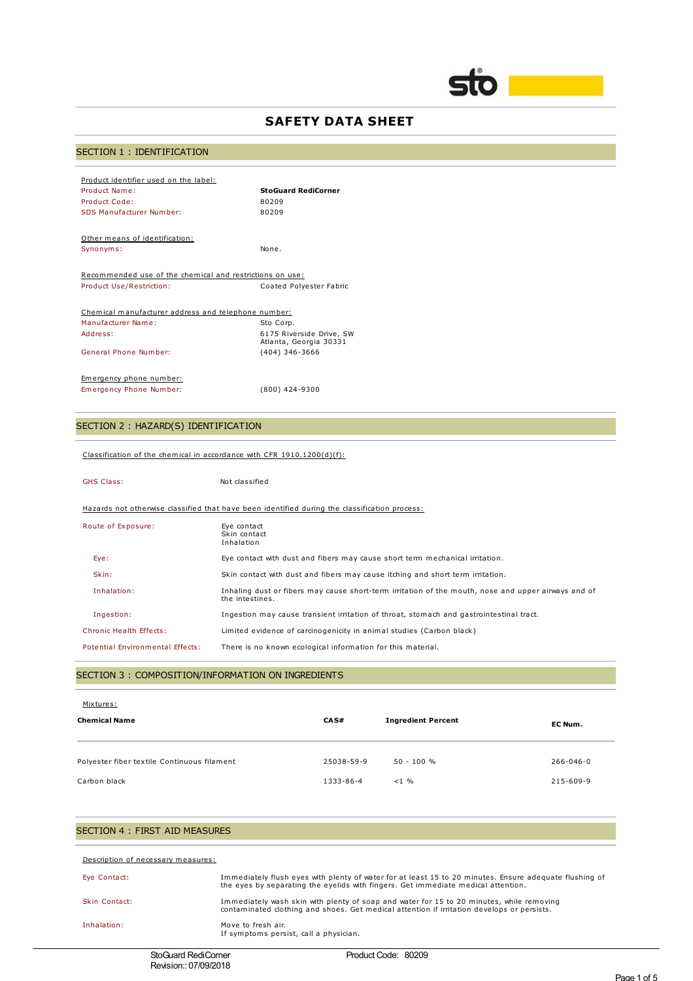

## **SAFETY DATA SHEET**

## SECTION 1 : IDENTIFICATION

| Product identifier used on the label:                    |                                                    |
|----------------------------------------------------------|----------------------------------------------------|
| Product Name:                                            | <b>StoGuard RediCorner</b>                         |
| Product Code:                                            | 80209                                              |
| SDS Manufacturer Number:                                 | 80209                                              |
|                                                          |                                                    |
| Other means of identification:                           |                                                    |
| Synonyms:                                                | None.                                              |
|                                                          |                                                    |
| Recommended use of the chemical and restrictions on use: |                                                    |
| Product Use/Restriction:                                 | Coated Polvester Fabric                            |
|                                                          |                                                    |
| Chemical manufacturer address and telephone number:      |                                                    |
| Manufacturer Name:                                       | Sto Corp.                                          |
| Address:                                                 | 6175 Riverside Drive, SW<br>Atlanta, Georgia 30331 |
| General Phone Number:                                    | (404) 346-3666                                     |
|                                                          |                                                    |
| Emergency phone number:                                  |                                                    |
| Emergency Phone Number:                                  | $(800)$ 424-9300                                   |

## SECTION 2 : HAZARD(S) IDENTIFICATION

#### Classification of the chemical in accordance with CFR 1910.1200(d)(f):

## GHS Class: Not classified Hazards not otherwise classified that have been identified during the classification process: Route of Exposure: Eye contact Skin contact Inhalation Eye: Eye contact with dust and fibers may cause short term mechanical irritation. Skin: Skin contact with dust and fibers may cause itching and short term irritation. Inhalation: Inhaling dust or fibers may cause short-term irritation of the mouth, nose and upper airways and of the intestines. Ingestion: Ingestion may cause transient irritation of throat, stomach and gastrointestinal tract. Chronic Health Effects: Limited evidence of carcinogenicity in animal studies (Carbon black) Potential Environmental Effects: There is no known ecological information for this material.

#### SECTION 3 : COMPOSITION/INFORMATION ON INGREDIENTS

| Mixtures:<br><b>Chemical Name</b>           | CA S#      | <b>Ingredient Percent</b> | EC Num.   |
|---------------------------------------------|------------|---------------------------|-----------|
| Polyester fiber textile Continuous filament | 25038-59-9 | $50 - 100 %$              | 266-046-0 |
| Carbon black                                | 1333-86-4  | $< 1 \%$                  | 215-609-9 |

# SECTION 4 : FIRST AID MEASURES Description of necessary measures: Eye Contact: Immediately flush eyes with plenty of water for at least 15 to 20 minutes. Ensure adequate flushing of<br>the eyes by separating the eyelids with fingers. Get immediate medical attention. Skin Contact: Immediately wash skin with plenty of soap and water for 15 to 20 minutes, while removing contaminated clothing and shoes. Get medical attention if irritation develops or persists. Inhalation: Move to fresh air. If symptoms persist, call a physician.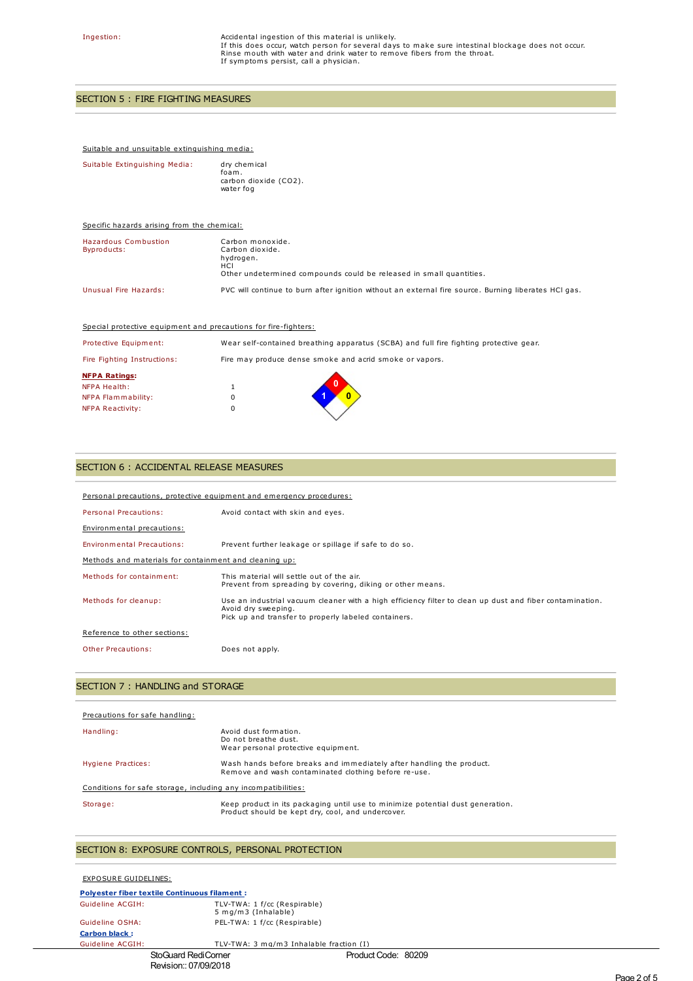Ingestion:  $\blacksquare$  Accidental ingestion of this material is unlikely. If this does occur, watch person for several days to make sure intestinal blockage does not occur. Rinse mouth with water and drink water to remove fibers from the throat. If symptoms persist, call a physician.

## SECTION 5 : FIRE FIGHTING MEASURES

#### Suitable and unsuitable extinguishing media:

| Suitable Extinguishing Media: | dry chemical<br>foam.<br>carbon dioxide (CO2).<br>water fog |
|-------------------------------|-------------------------------------------------------------|
|                               |                                                             |

| Specific hazards arising from the chemical: |                                                                                                                                |
|---------------------------------------------|--------------------------------------------------------------------------------------------------------------------------------|
| <b>Hazardous Combustion</b><br>Byproducts:  | Carbon monoxide.<br>Carbon dioxide.<br>hydrogen.<br>HCI<br>Other undetermined compounds could be released in small quantities. |
| Unusual Fire Hazards:                       | PVC will continue to burn after ignition without an external fire source. Burning liberates HCI gas.                           |

| Special protective equipment and precautions for fire-fighters: |  |
|-----------------------------------------------------------------|--|
|-----------------------------------------------------------------|--|

| Protective Equipment:                       |   | Wear self-contained breathing apparatus (SCBA) and full fire fighting protective gear. |
|---------------------------------------------|---|----------------------------------------------------------------------------------------|
| Fire Fighting Instructions:                 |   | Fire may produce dense smoke and acrid smoke or vapors.                                |
| <b>NFPA Ratings:</b><br><b>NFPA Health:</b> |   |                                                                                        |
| NFPA Flammability:                          | 0 |                                                                                        |
| NFPA Reactivity:                            | 0 |                                                                                        |

### SECTION 6 : ACCIDENTAL RELEASE MEASURES

| Personal precautions, protective equipment and emergency procedures: |                                                                                                                                                                                         |  |
|----------------------------------------------------------------------|-----------------------------------------------------------------------------------------------------------------------------------------------------------------------------------------|--|
| Personal Precautions:                                                | Avoid contact with skin and eyes.                                                                                                                                                       |  |
| Environmental precautions:                                           |                                                                                                                                                                                         |  |
| <b>Environmental Precautions:</b>                                    | Prevent further leakage or spillage if safe to do so.                                                                                                                                   |  |
| Methods and materials for containment and cleaning up:               |                                                                                                                                                                                         |  |
| Methods for containment:                                             | This material will settle out of the air.<br>Prevent from spreading by covering, diking or other means.                                                                                 |  |
| Methods for cleanup:                                                 | Use an industrial vacuum cleaner with a high efficiency filter to clean up dust and fiber contamination.<br>Avoid dry sweeping.<br>Pick up and transfer to properly labeled containers. |  |
| Reference to other sections:                                         |                                                                                                                                                                                         |  |
| Other Precautions:                                                   | Does not apply.                                                                                                                                                                         |  |

## SECTION 7 : HANDLING and STORAGE

| Precautions for safe handling:                                |                                                                                                                                     |  |
|---------------------------------------------------------------|-------------------------------------------------------------------------------------------------------------------------------------|--|
| Handling:                                                     | Avoid dust formation.<br>Do not breathe dust.<br>Wear personal protective equipment.                                                |  |
| Hygiene Practices:                                            | Wash hands before breaks and immediately after handling the product.<br>Remove and wash contaminated clothing before re-use.        |  |
| Conditions for safe storage, including any incompatibilities: |                                                                                                                                     |  |
| Storage:                                                      | Keep product in its packaging until use to minimize potential dust generation.<br>Product should be kept dry, cool, and undercover. |  |

## SECTION 8: EXPOSURE CONTROLS, PERSONAL PROTECTION

| EXPOSURE GUIDELINES:                                |                                                     |
|-----------------------------------------------------|-----------------------------------------------------|
| <b>Polvester fiber textile Continuous filament:</b> |                                                     |
| Guideline ACGIH:                                    | TLV-TWA: 1 f/cc (Respirable)<br>5 mg/m3 (Inhalable) |
| Guideline OSHA:                                     | PEL-TWA: 1 f/cc (Respirable)                        |
| <b>Carbon black:</b>                                |                                                     |
| Guideline ACGIH:                                    | TLV-TWA: 3 mg/m3 Inhalable fraction (I)             |

#### StoGuard RediCorner **Product Code: 80209** Revision:: 07/09/2018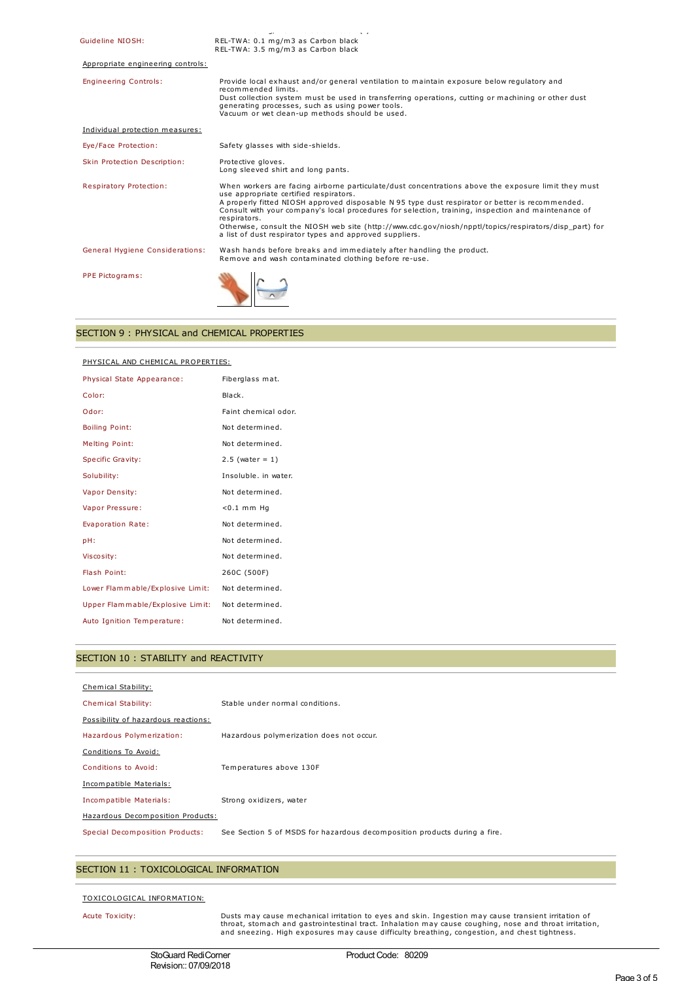| المتحاول والمستحدث والمتحدث والمستحدث | أرجوا المستحدث فالمستملك لمنادرواللا فالتاليات المقاد                                                                                                                                                                                                                                                                                                                                                                                                                                                                                         |
|---------------------------------------|-----------------------------------------------------------------------------------------------------------------------------------------------------------------------------------------------------------------------------------------------------------------------------------------------------------------------------------------------------------------------------------------------------------------------------------------------------------------------------------------------------------------------------------------------|
| Guideline NIOSH:                      | REL-TWA: 0.1 mg/m3 as Carbon black<br>REL-TWA: 3.5 mg/m3 as Carbon black                                                                                                                                                                                                                                                                                                                                                                                                                                                                      |
| Appropriate engineering controls:     |                                                                                                                                                                                                                                                                                                                                                                                                                                                                                                                                               |
| <b>Engineering Controls:</b>          | Provide local exhaust and/or general ventilation to maintain exposure below regulatory and<br>recommended limits.<br>Dust collection system must be used in transferring operations, cutting or machining or other dust<br>generating processes, such as using power tools.<br>Vacuum or wet clean-up methods should be used.                                                                                                                                                                                                                 |
| Individual protection measures:       |                                                                                                                                                                                                                                                                                                                                                                                                                                                                                                                                               |
| Eye/Face Protection:                  | Safety glasses with side-shields.                                                                                                                                                                                                                                                                                                                                                                                                                                                                                                             |
| Skin Protection Description:          | Protective gloves.<br>Long sleeved shirt and long pants.                                                                                                                                                                                                                                                                                                                                                                                                                                                                                      |
| Respiratory Protection:               | When workers are facing airborne particulate/dust concentrations above the exposure limit they must<br>use appropriate certified respirators.<br>A properly fitted NIOSH approved disposable N 95 type dust respirator or better is recommended.<br>Consult with your company's local procedures for selection, training, inspection and maintenance of<br>respirators.<br>Otherwise, consult the NIOSH web site (http://www.cdc.gov/niosh/npptl/topics/respirators/disp part) for<br>a list of dust respirator types and approved suppliers. |
| General Hygiene Considerations:       | Wash hands before breaks and immediately after handling the product.<br>Remove and wash contaminated clothing before re-use.                                                                                                                                                                                                                                                                                                                                                                                                                  |
| PPE Pictograms:                       |                                                                                                                                                                                                                                                                                                                                                                                                                                                                                                                                               |

## SECTION 9 : PHYSICAL and CHEMICAL PROPERTIES

## PHYSICAL AND CHEMICAL PROPERTIES:

| Physical State Appearance:       | Fiberglass mat.      |
|----------------------------------|----------------------|
| Color:                           | Black.               |
| Odor:                            | Faint chemical odor. |
| <b>Boiling Point:</b>            | Not determined.      |
| <b>Melting Point:</b>            | Not determined.      |
| Specific Gravity:                | $2.5$ (water = 1)    |
| Solubility:                      | Insoluble, in water. |
| Vapor Density:                   | Not determined.      |
| Vapor Pressure:                  | $<$ 0.1 mm Hq        |
| Evaporation Rate:                | Not determined.      |
| pH:                              | Not determined.      |
| Viscosity:                       | Not determined.      |
| Flash Point:                     | 260C (500F)          |
| Lower Flammable/Explosive Limit: | Not determined.      |
| Upper Flammable/Explosive Limit: | Not determined.      |
| Auto Ignition Temperature:       | Not determined.      |

## SECTION 10 : STABILITY and REACTIVITY

| Chemical Stability:                 |                                                                           |
|-------------------------------------|---------------------------------------------------------------------------|
| Chemical Stability:                 | Stable under normal conditions.                                           |
| Possibility of hazardous reactions: |                                                                           |
| Hazardous Polymerization:           | Hazardous polymerization does not occur.                                  |
| Conditions To Avoid:                |                                                                           |
| Conditions to Avoid:                | Temperatures above 130F                                                   |
| Incompatible Materials:             |                                                                           |
| Incompatible Materials:             | Strong oxidizers, water                                                   |
| Hazardous Decomposition Products:   |                                                                           |
| Special Decomposition Products:     | See Section 5 of MSDS for hazardous decomposition products during a fire. |
|                                     |                                                                           |

## SECTION 11 : TOXICOLOGICAL INFORMATION

## TOXICOLOGICAL INFORMATION:

Acute Toxicity: Dusts may cause mechanical irritation to eyes and skin. Ingestion may cause transient irritation of throat, stomach and gastrointestinal tract. Inhalation may cause coughing, nose and throat irritation, and sneezing. High exposures may cause difficulty breathing, congestion, and chest tightness.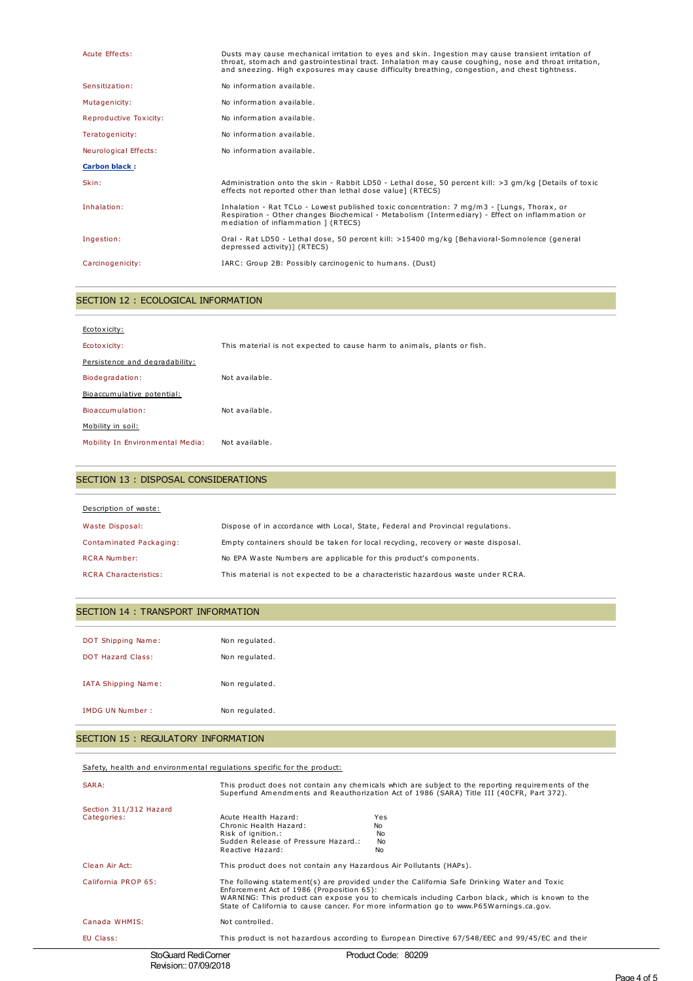| Acute Effects:         | Dusts may cause mechanical irritation to eyes and skin. Ingestion may cause transient irritation of<br>throat, stomach and gastrointestinal tract. Inhalation may cause coughing, nose and throat irritation,<br>and sneezing. High exposures may cause difficulty breathing, congestion, and chest tightness. |
|------------------------|----------------------------------------------------------------------------------------------------------------------------------------------------------------------------------------------------------------------------------------------------------------------------------------------------------------|
| Sensitization:         | No information available.                                                                                                                                                                                                                                                                                      |
| Mutagenicity:          | No information available.                                                                                                                                                                                                                                                                                      |
| Reproductive Toxicity: | No information available.                                                                                                                                                                                                                                                                                      |
| Teratogenicity:        | No information available.                                                                                                                                                                                                                                                                                      |
| Neurological Effects:  | No information available.                                                                                                                                                                                                                                                                                      |
| <b>Carbon black:</b>   |                                                                                                                                                                                                                                                                                                                |
| Skin:                  | Administration onto the skin - Rabbit LD50 - Lethal dose, 50 percent kill: >3 qm/kq [Details of toxic<br>effects not reported other than lethal dose value] (RTECS)                                                                                                                                            |
| Inhalation:            | Inhalation - Rat TCLo - Lowest published toxic concentration: 7 mg/m3 - [Lungs, Thorax, or<br>Respiration - Other changes Biochemical - Metabolism (Intermediary) - Effect on inflammation or<br>mediation of inflammation ] (RTECS)                                                                           |
| Ingestion:             | Oral - Rat LD50 - Lethal dose, 50 percent kill: >15400 mg/kg [Behavioral-Somnolence (general<br>depressed activity)] (RTECS)                                                                                                                                                                                   |
| Carcinogenicity:       | IARC: Group 2B: Possibly carcinogenic to humans. (Dust)                                                                                                                                                                                                                                                        |

## SECTION 12 : ECOLOGICAL INFORMATION

| Ecotoxicity:                     |                                                                         |
|----------------------------------|-------------------------------------------------------------------------|
| Ecotoxicity:                     | This material is not expected to cause harm to animals, plants or fish. |
| Persistence and degradability:   |                                                                         |
| Biodegradation:                  | Not available.                                                          |
| Bioaccumulative potential:       |                                                                         |
| Bioaccumulation:                 | Not available.                                                          |
| Mobility in soil:                |                                                                         |
| Mobility In Environmental Media: | Not available.                                                          |

## SECTION 13 : DISPOSAL CONSIDERATIONS

| Description of waste:        |                                                                                   |
|------------------------------|-----------------------------------------------------------------------------------|
| Waste Disposal:              | Dispose of in accordance with Local, State, Federal and Provincial regulations.   |
| Contaminated Packaging:      | Empty containers should be taken for local recycling, recovery or waste disposal. |
| <b>RCRA Number:</b>          | No EPA Waste Numbers are applicable for this product's components.                |
| <b>RCRA Characteristics:</b> | This material is not expected to be a characteristic hazardous waste under RCRA.  |

## SECTION 14 : TRANSPORT INFORMATION

| DOT Shipping Name:<br><b>DOT Hazard Class:</b> | Non regulated.<br>Non regulated. |
|------------------------------------------------|----------------------------------|
| IATA Shipping Name:                            | Non regulated.                   |
| IMDG UN Number:                                | Non regulated.                   |

## SECTION 15 : REGULATORY INFORMATION

Safety, health and environmental regulations specific for the product:

| SARA:                                 | This product does not contain any chemicals which are subject to the reporting requirements of the<br>Superfund Amendments and Reauthorization Act of 1986 (SARA) Title III (40CFR, Part 372).                                                                                                                                        |                                                                                                 |
|---------------------------------------|---------------------------------------------------------------------------------------------------------------------------------------------------------------------------------------------------------------------------------------------------------------------------------------------------------------------------------------|-------------------------------------------------------------------------------------------------|
| Section 311/312 Hazard<br>Categories: | Acute Health Hazard:<br>Chronic Health Hazard:<br>Risk of ignition.:<br>Sudden Release of Pressure Hazard.:<br>Reactive Hazard:                                                                                                                                                                                                       | Yes<br>No.<br>No<br>No.<br>No                                                                   |
| Clean Air Act:                        | This product does not contain any Hazardous Air Pollutants (HAPs).                                                                                                                                                                                                                                                                    |                                                                                                 |
| California PROP 65:                   | The following statement(s) are provided under the California Safe Drinking Water and Toxic<br>Enforcement Act of 1986 (Proposition 65):<br>WARNING: This product can expose you to chemicals including Carbon black, which is known to the<br>State of California to cause cancer. For more information go to www.P65Warnings.ca.gov. |                                                                                                 |
| Canada WHMIS:                         | Not controlled.                                                                                                                                                                                                                                                                                                                       |                                                                                                 |
| EU Class:                             |                                                                                                                                                                                                                                                                                                                                       | This product is not hazardous according to European Directive 67/548/EEC and 99/45/EC and their |
| StoGuard RediCorner                   |                                                                                                                                                                                                                                                                                                                                       | Product Code: 80209                                                                             |